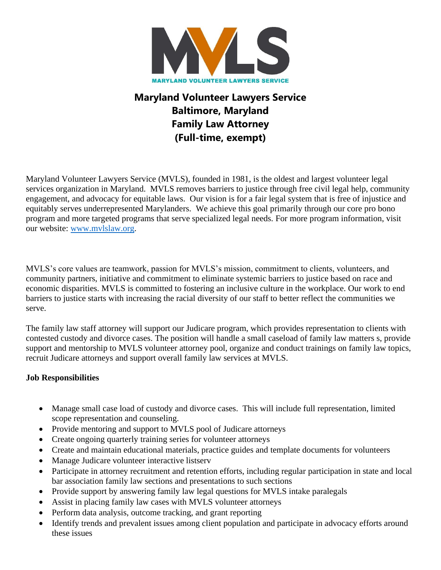

# **Maryland Volunteer Lawyers Service Baltimore, Maryland Family Law Attorney (Full-time, exempt)**

Maryland Volunteer Lawyers Service (MVLS), founded in 1981, is the oldest and largest volunteer legal services organization in Maryland. MVLS removes barriers to justice through free civil legal help, community engagement, and advocacy for equitable laws. Our vision is for a fair legal system that is free of injustice and equitably serves underrepresented Marylanders. We achieve this goal primarily through our core pro bono program and more targeted programs that serve specialized legal needs. For more program information, visit our website: www.mvlslaw.org.

MVLS's core values are teamwork, passion for MVLS's mission, commitment to clients, volunteers, and community partners, initiative and commitment to eliminate systemic barriers to justice based on race and economic disparities. MVLS is committed to fostering an inclusive culture in the workplace. Our work to end barriers to justice starts with increasing the racial diversity of our staff to better reflect the communities we serve.

The family law staff attorney will support our Judicare program, which provides representation to clients with contested custody and divorce cases. The position will handle a small caseload of family law matters s, provide support and mentorship to MVLS volunteer attorney pool, organize and conduct trainings on family law topics, recruit Judicare attorneys and support overall family law services at MVLS.

## **Job Responsibilities**

- Manage small case load of custody and divorce cases. This will include full representation, limited scope representation and counseling.
- Provide mentoring and support to MVLS pool of Judicare attorneys
- Create ongoing quarterly training series for volunteer attorneys
- Create and maintain educational materials, practice guides and template documents for volunteers
- Manage Judicare volunteer interactive listserv
- Participate in attorney recruitment and retention efforts, including regular participation in state and local bar association family law sections and presentations to such sections
- Provide support by answering family law legal questions for MVLS intake paralegals
- Assist in placing family law cases with MVLS volunteer attorneys
- Perform data analysis, outcome tracking, and grant reporting
- Identify trends and prevalent issues among client population and participate in advocacy efforts around these issues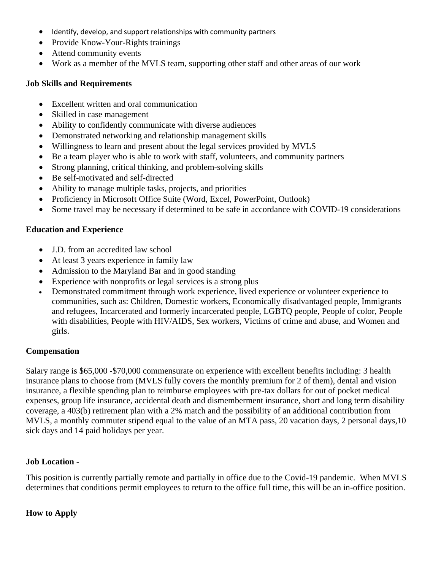- Identify, develop, and support relationships with community partners
- Provide Know-Your-Rights trainings
- Attend community events
- Work as a member of the MVLS team, supporting other staff and other areas of our work

## **Job Skills and Requirements**

- Excellent written and oral communication
- Skilled in case management
- Ability to confidently communicate with diverse audiences
- Demonstrated networking and relationship management skills
- Willingness to learn and present about the legal services provided by MVLS
- Be a team player who is able to work with staff, volunteers, and community partners
- Strong planning, critical thinking, and problem-solving skills
- Be self-motivated and self-directed
- Ability to manage multiple tasks, projects, and priorities
- Proficiency in Microsoft Office Suite (Word, Excel, PowerPoint, Outlook)
- Some travel may be necessary if determined to be safe in accordance with COVID-19 considerations

## **Education and Experience**

- J.D. from an accredited law school
- At least 3 years experience in family law
- Admission to the Maryland Bar and in good standing
- Experience with nonprofits or legal services is a strong plus
- Demonstrated commitment through work experience, lived experience or volunteer experience to communities, such as: Children, Domestic workers, Economically disadvantaged people, Immigrants and refugees, Incarcerated and formerly incarcerated people, LGBTQ people, People of color, People with disabilities, People with HIV/AIDS, Sex workers, Victims of crime and abuse, and Women and girls.

## **Compensation**

Salary range is \$65,000 -\$70,000 commensurate on experience with excellent benefits including: 3 health insurance plans to choose from (MVLS fully covers the monthly premium for 2 of them), dental and vision insurance, a flexible spending plan to reimburse employees with pre-tax dollars for out of pocket medical expenses, group life insurance, accidental death and dismemberment insurance, short and long term disability coverage, a 403(b) retirement plan with a 2% match and the possibility of an additional contribution from MVLS, a monthly commuter stipend equal to the value of an MTA pass, 20 vacation days, 2 personal days,10 sick days and 14 paid holidays per year.

## **Job Location -**

This position is currently partially remote and partially in office due to the Covid-19 pandemic. When MVLS determines that conditions permit employees to return to the office full time, this will be an in-office position.

## **How to Apply**